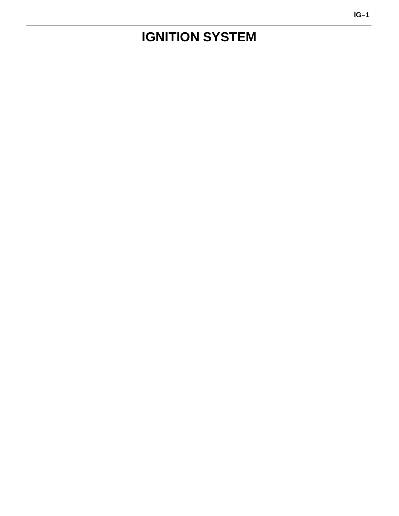# <span id="page-0-0"></span>**IGNITION SYSTEM**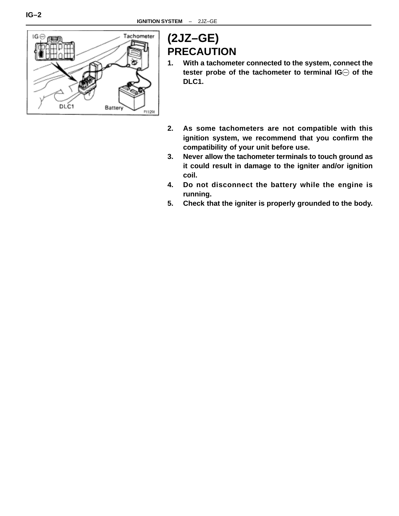

# **(2JZ–GE) PRECAUTION**

- **1. With a tachometer connected to the system, connect the tester probe of the tachometer to terminal IG of the DLC1.**
- **2. As some tachometers are not compatible with this ignition system, we recommend that you confirm the compatibility of your unit before use.**
- **3. Never allow the tachometer terminals to touch ground as it could result in damage to the igniter and/or ignition coil.**
- **4. Do not disconnect the battery while the engine is running.**
- **5. Check that the igniter is properly grounded to the body.**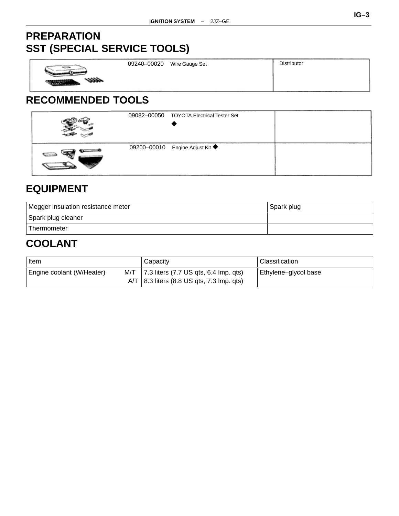# **PREPARATION SST (SPECIAL SERVICE TOOLS)**

| .             | 09240-00020 | Wire Gauge Set | <b>Distributor</b> |
|---------------|-------------|----------------|--------------------|
| ------------- |             |                | ---                |

# **RECOMMENDED TOOLS**

| 09082-00050<br><b>TOYOTA Electrical Tester Set</b> |  |
|----------------------------------------------------|--|
| 09200-00010 Engine Adjust Kit ◆                    |  |

# **EQUIPMENT**

| Megger insulation resistance meter | Spark plug |  |  |  |
|------------------------------------|------------|--|--|--|
| Spark plug cleaner                 |            |  |  |  |
| Thermometer                        |            |  |  |  |
| <b>COOLANT</b>                     |            |  |  |  |

| ltem                      |     | Capacity                                                | Classification       |  |
|---------------------------|-----|---------------------------------------------------------|----------------------|--|
| Engine coolant (W/Heater) | M/T | 7.3 liters $(7.7 \text{ US qts}, 6.4 \text{ Imp. qts})$ | Ethylene-glycol base |  |
|                           |     | $AYT$   8.3 liters (8.8 US qts, 7.3 lmp. qts)           |                      |  |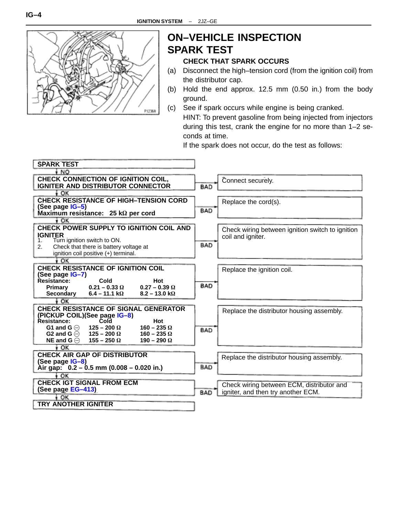<span id="page-3-0"></span>

# **ON–VEHICLE INSPECTION SPARK TEST**

### **CHECK THAT SPARK OCCURS**

- (a) Disconnect the high–tension cord (from the ignition coil) from the distributor cap.
- (b) Hold the end approx. 12.5 mm (0.50 in.) from the body ground.
- (c) See if spark occurs while engine is being cranked. HINT: To prevent gasoline from being injected from injectors during this test, crank the engine for no more than 1–2 seconds at time.

If the spark does not occur, do the test as follows:

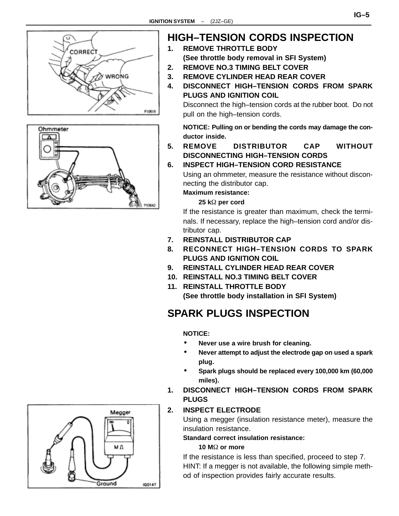<span id="page-4-0"></span>



# **HIGH–TENSION CORDS INSPECTION**

- **1. REMOVE THROTTLE BODY (See throttle body removal in SFI System)**
- **2. REMOVE NO.3 TIMING BELT COVER**
- **3. REMOVE CYLINDER HEAD REAR COVER**
- **4. DISCONNECT HIGH–TENSION CORDS FROM SPARK PLUGS AND IGNITION COIL**

Disconnect the high–tension cords at the rubber boot. Do not pull on the high–tension cords.

**NOTICE: Pulling on or bending the cords may damage the conductor inside.**

**5. REMOVE DISTRIBUTOR CAP WITHOUT DISCONNECTING HIGH–TENSION CORDS**

### **6. INSPECT HIGH–TENSION CORD RESISTANCE**

Using an ohmmeter, measure the resistance without disconnecting the distributor cap.

**Maximum resistance:**

 $25 k\Omega$  per cord

If the resistance is greater than maximum, check the terminals. If necessary, replace the high–tension cord and/or distributor cap.

- **7. REINSTALL DISTRIBUTOR CAP**
- **8. RECONNECT HIGH–TENSION CORDS TO SPARK PLUGS AND IGNITION COIL**
- **9. REINSTALL CYLINDER HEAD REAR COVER**
- **10. REINSTALL NO.3 TIMING BELT COVER**
- **11. REINSTALL THROTTLE BODY (See throttle body installation in SFI System)**

# **SPARK PLUGS INSPECTION**

### **NOTICE:**

- **Never use a wire brush for cleaning.**
- **Never attempt to adjust the electrode gap on used a spark plug.**
- **Spark plugs should be replaced every 100,000 km (60,000 miles).**
- **1. DISCONNECT HIGH–TENSION CORDS FROM SPARK PLUGS**

# **2. INSPECT ELECTRODE**

Using a megger (insulation resistance meter), measure the insulation resistance.

### **Standard correct insulation resistance:**

### **10 MΩ or more**

If the resistance is less than specified, proceed to step 7. HINT: If a megger is not available, the following simple method of inspection provides fairly accurate results.

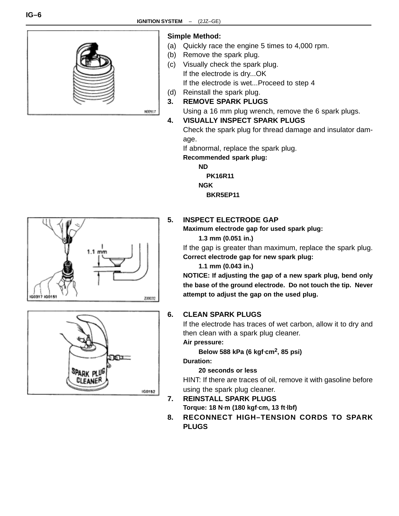

# 800917





### **Simple Method:**

- (a) Quickly race the engine 5 times to 4,000 rpm.
- (b) Remove the spark plug.
- (c) Visually check the spark plug. If the electrode is dry...OK If the electrode is wet...Proceed to step 4
- (d) Reinstall the spark plug.
- **3. REMOVE SPARK PLUGS**

Using a 16 mm plug wrench, remove the 6 spark plugs.

### **4. VISUALLY INSPECT SPARK PLUGS**

Check the spark plug for thread damage and insulator damage.

If abnormal, replace the spark plug.

**Recommended spark plug:**

**ND**

**PK16R11**

**NGK**

**BKR5EP11**

## **5. INSPECT ELECTRODE GAP**

**Maximum electrode gap for used spark plug:**

**1.3 mm (0.051 in.)**

If the gap is greater than maximum, replace the spark plug. **Correct electrode gap for new spark plug:**

**1.1 mm (0.043 in.)**

**NOTICE: If adjusting the gap of a new spark plug, bend only the base of the ground electrode. Do not touch the tip. Never attempt to adjust the gap on the used plug.**

### **6. CLEAN SPARK PLUGS**

If the electrode has traces of wet carbon, allow it to dry and then clean with a spark plug cleaner.

## **Air pressure:**

**Below 588 kPa (6 kgf**⋅**cm2, 85 psi)**

**Duration:**

### **20 seconds or less**

HINT: If there are traces of oil, remove it with gasoline before using the spark plug cleaner.

**7. REINSTALL SPARK PLUGS**

**Torque: 18 N**⋅**m (180 kgf**⋅**cm, 13 ft**⋅**lbf)**

**8. RECONNECT HIGH–TENSION CORDS TO SPARK PLUGS**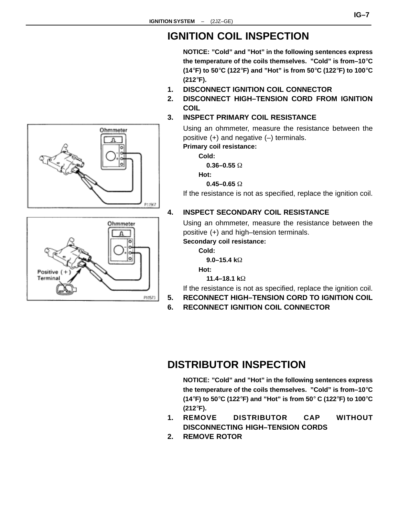# **IGNITION COIL INSPECTION**

**NOTICE: "Cold" and "Hot" in the following sentences express the temperature of the coils themselves. "Cold" is from–10**°**C (14**°**F) to 50**°**C (122**°**F) and "Hot" is from 50**°**C (122**°**F) to 100**°**C (212**°**F).**

- **1. DISCONNECT IGNITION COIL CONNECTOR**
- **2. DISCONNECT HIGH–TENSION CORD FROM IGNITION COIL**
- **3. INSPECT PRIMARY COIL RESISTANCE**

Using an ohmmeter, measure the resistance between the positive (+) and negative (–) terminals. **Primary coil resistance:**

**Cold:**

**0.36–0.55** 

**Hot:**

**0.45–0.65** 

If the resistance is not as specified, replace the ignition coil.

### **4. INSPECT SECONDARY COIL RESISTANCE**

Using an ohmmeter, measure the resistance between the positive (+) and high–tension terminals.

**Secondary coil resistance:**

**Cold: 9.0–15.4 k**

**Hot:**

**11.4–18.1 k**

If the resistance is not as specified, replace the ignition coil.

**5. RECONNECT HIGH–TENSION CORD TO IGNITION COIL**

**6. RECONNECT IGNITION COIL CONNECTOR**

# **DISTRIBUTOR INSPECTION**

**NOTICE: "Cold" and "Hot" in the following sentences express the temperature of the coils themselves. "Cold" is from–10**°**C (14**°**F) to 50**°**C (122**°**F) and "Hot" is from 50**° **C (122**°**F) to 100**°**C (212**°**F).**

- **1. REMOVE DISTRIBUTOR CAP WITHOUT DISCONNECTING HIGH–TENSION CORDS**
- **2. REMOVE ROTOR**

<span id="page-6-0"></span>

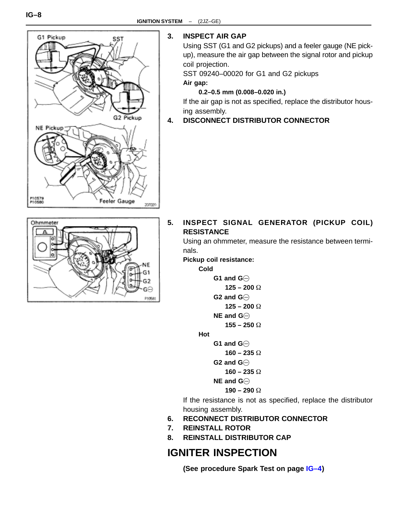<span id="page-7-0"></span>

### **3. INSPECT AIR GAP**

Using SST (G1 and G2 pickups) and a feeler gauge (NE pickup), measure the air gap between the signal rotor and pickup coil projection.

SST 09240–00020 for G1 and G2 pickups **Air gap:**

**0.2–0.5 mm (0.008–0.020 in.)**

If the air gap is not as specified, replace the distributor housing assembly.

### **4. DISCONNECT DISTRIBUTOR CONNECTOR**



**5. INSPECT SIGNAL GENERATOR (PICKUP COIL) RESISTANCE**

Using an ohmmeter, measure the resistance between terminals.

**Pickup coil resistance:**

**Cold**

**G1 and G 125 – 200 G2 and G 125 – 200 NE and G 155 – 250** 

**Hot**

**G1 and G**

 **160 – 235** 

```
G2 and G
```

```
 160 – 235
```
**NE and G**

```
 190 – 290
```
If the resistance is not as specified, replace the distributor housing assembly.

- **6. RECONNECT DISTRIBUTOR CONNECTOR**
- **7. REINSTALL ROTOR**
- **8. REINSTALL DISTRIBUTOR CAP**

# **IGNITER INSPECTION**

**(See procedure Spark Test on page [IG–4](#page-3-0))**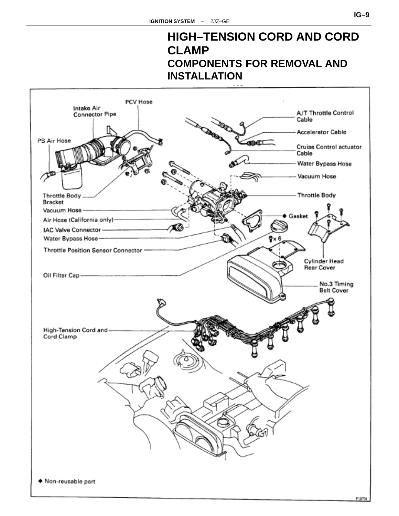# **HIGH–TENSION CORD AND CORD CLAMP COMPONENTS FOR REMOVAL AND INSTALLATION**

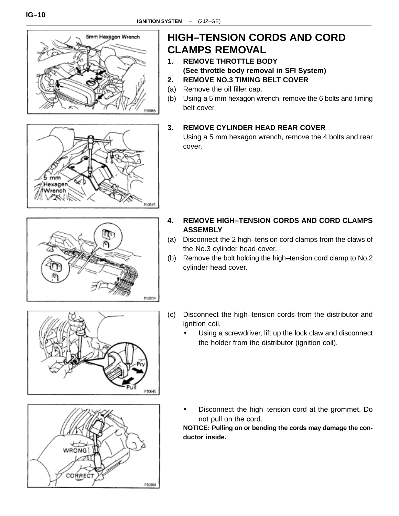



# **HIGH–TENSION CORDS AND CORD CLAMPS REMOVAL**

- **1. REMOVE THROTTLE BODY (See throttle body removal in SFI System)**
- **2. REMOVE NO.3 TIMING BELT COVER**
- (a) Remove the oil filler cap.
- (b) Using a 5 mm hexagon wrench, remove the 6 bolts and timing belt cover.

### **3. REMOVE CYLINDER HEAD REAR COVER**

Using a 5 mm hexagon wrench, remove the 4 bolts and rear cover.

- P10839
- **4. REMOVE HIGH–TENSION CORDS AND CORD CLAMPS ASSEMBLY**
- (a) Disconnect the 2 high–tension cord clamps from the claws of the No.3 cylinder head cover.
- (b) Remove the bolt holding the high–tension cord clamp to No.2 cylinder head cover.
- (c) Disconnect the high–tension cords from the distributor and ignition coil.
	- Using a screwdriver, lift up the lock claw and disconnect the holder from the distributor (ignition coil).





• Disconnect the high–tension cord at the grommet. Do not pull on the cord.

**NOTICE: Pulling on or bending the cords may damage the conductor inside.**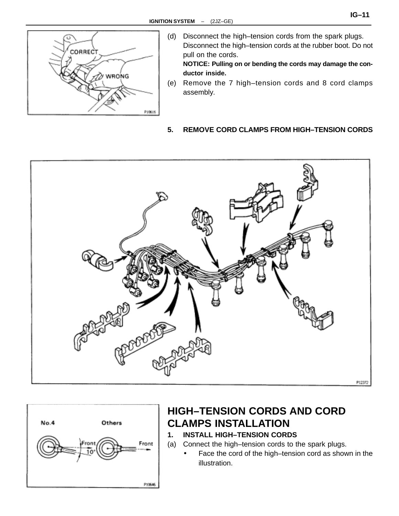

(d) Disconnect the high–tension cords from the spark plugs. Disconnect the high–tension cords at the rubber boot. Do not pull on the cords.

**NOTICE: Pulling on or bending the cords may damage the conductor inside.**

(e) Remove the 7 high–tension cords and 8 cord clamps assembly.

### **5. REMOVE CORD CLAMPS FROM HIGH–TENSION CORDS**





# **HIGH–TENSION CORDS AND CORD CLAMPS INSTALLATION**

- **1. INSTALL HIGH–TENSION CORDS**
- (a) Connect the high–tension cords to the spark plugs.
	- Face the cord of the high–tension cord as shown in the illustration.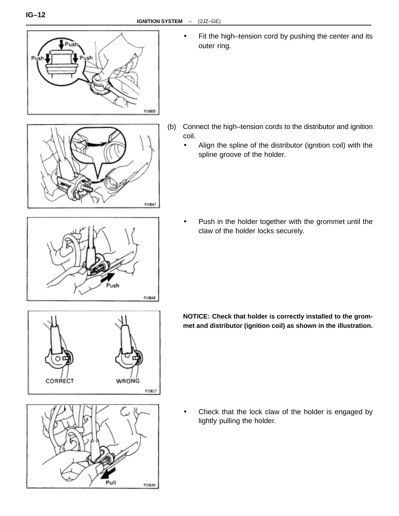

Fit the high–tension cord by pushing the center and its outer ring.



- (b) Connect the high–tension cords to the distributor and ignition coil.
	- Align the spline of the distributor (ignition coil) with the spline groove of the holder.

- P10648
- Push in the holder together with the grommet until the claw of the holder locks securely.



**NOTICE: Check that holder is correctly installed to the grommet and distributor (ignition coil) as shown in the illustration.**

- Pull P10649
- Check that the lock claw of the holder is engaged by lightly pulling the holder.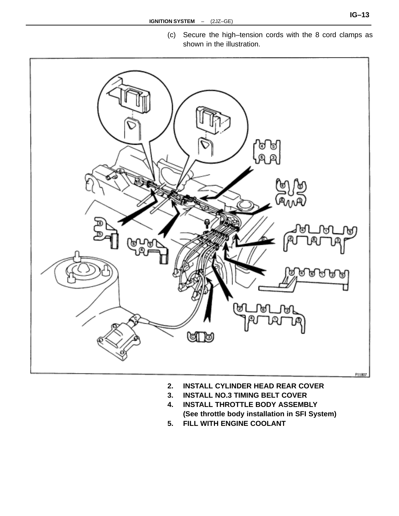

- **2. INSTALL CYLINDER HEAD REAR COVER**
- **3. INSTALL NO.3 TIMING BELT COVER**
- **4. INSTALL THROTTLE BODY ASSEMBLY (See throttle body installation in SFI System)**
- **5. FILL WITH ENGINE COOLANT**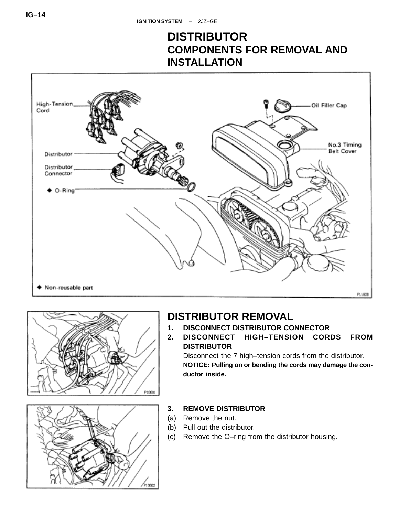# **DISTRIBUTOR COMPONENTS FOR REMOVAL AND INSTALLATION**







# **DISTRIBUTOR REMOVAL**

- **1. DISCONNECT DISTRIBUTOR CONNECTOR**
- **2. DISCONNECT HIGH–TENSION CORDS FROM DISTRIBUTOR**

Disconnect the 7 high–tension cords from the distributor. **NOTICE: Pulling on or bending the cords may damage the conductor inside.**

- **3. REMOVE DISTRIBUTOR**
- (a) Remove the nut.
- (b) Pull out the distributor.
- (c) Remove the O–ring from the distributor housing.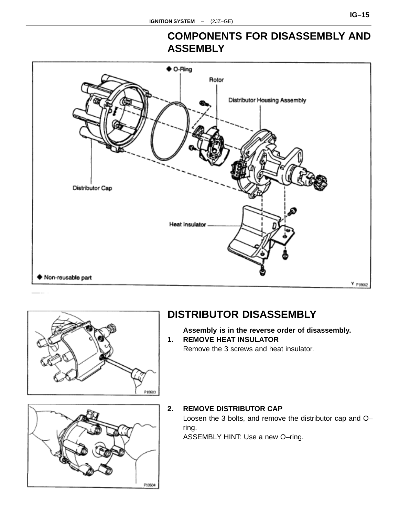



# **DISTRIBUTOR DISASSEMBLY**

**Assembly is in the reverse order of disassembly. 1. REMOVE HEAT INSULATOR**

Remove the 3 screws and heat insulator.



### **2. REMOVE DISTRIBUTOR CAP** Loosen the 3 bolts, and remove the distributor cap and O– ring. ASSEMBLY HINT: Use a new O–ring.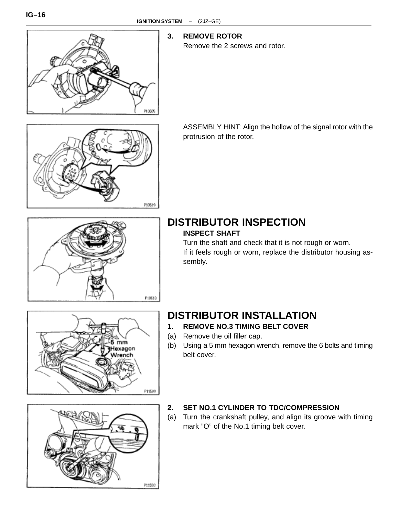

### **3. REMOVE ROTOR**

Remove the 2 screws and rotor.



ASSEMBLY HINT: Align the hollow of the signal rotor with the protrusion of the rotor.



# **DISTRIBUTOR INSPECTION**

### **INSPECT SHAFT**

Turn the shaft and check that it is not rough or worn. If it feels rough or worn, replace the distributor housing assembly.



# **DISTRIBUTOR INSTALLATION**

- **1. REMOVE NO.3 TIMING BELT COVER**
- (a) Remove the oil filler cap.
- (b) Using a 5 mm hexagon wrench, remove the 6 bolts and timing belt cover.



### **2. SET NO.1 CYLINDER TO TDC/COMPRESSION**

(a) Turn the crankshaft pulley, and align its groove with timing mark "O" of the No.1 timing belt cover.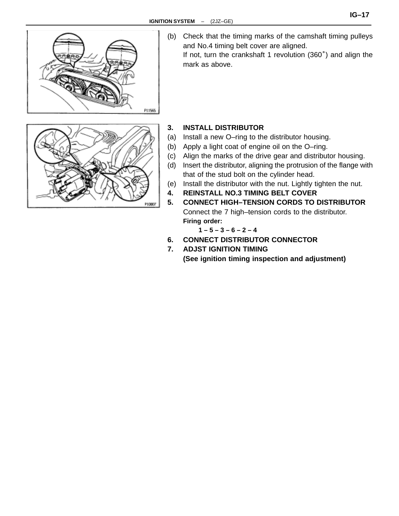

(b) Check that the timing marks of the camshaft timing pulleys and No.4 timing belt cover are aligned.

If not, turn the crankshaft 1 revolution (360°) and align the mark as above.



### **3. INSTALL DISTRIBUTOR**

- (a) Install a new O–ring to the distributor housing.
- (b) Apply a light coat of engine oil on the O–ring.
- (c) Align the marks of the drive gear and distributor housing.
- (d) Insert the distributor, aligning the protrusion of the flange with that of the stud bolt on the cylinder head.
- (e) Install the distributor with the nut. Lightly tighten the nut.
- **4. REINSTALL NO.3 TIMING BELT COVER**
- **5. CONNECT HIGH–TENSION CORDS TO DISTRIBUTOR** Connect the 7 high–tension cords to the distributor. **Firing order:**

$$
1 - 5 - 3 - 6 - 2 - 4
$$

- **6. CONNECT DISTRIBUTOR CONNECTOR**
- **7. ADJST IGNITION TIMING (See ignition timing inspection and adjustment)**